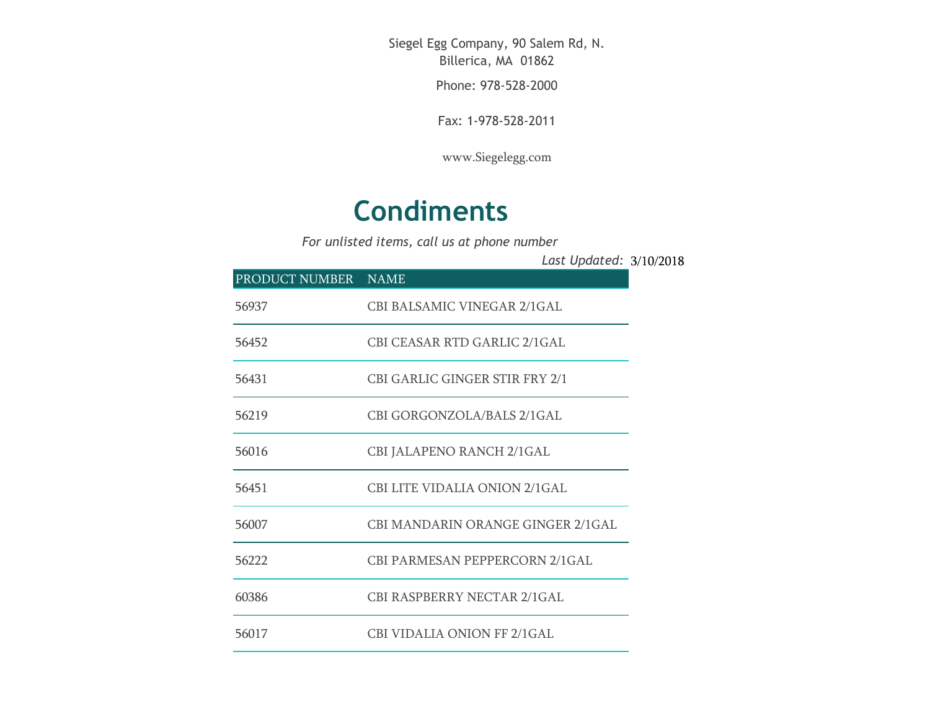Siegel Egg Company, 90 Salem Rd, N. Billerica, MA 01862

Phone: 978-528-2000

Fax: 1-978-528-2011

[www.Siegelegg.com](http://www.siegelegg.com/)

## **Condiments**

*For unlisted items, call us at phone number*

|                     |                                      | Last Updated: 3/10/2018 |  |
|---------------------|--------------------------------------|-------------------------|--|
| PRODUCT NUMBER NAME |                                      |                         |  |
| 56937               | CBI BALSAMIC VINEGAR 2/1GAL          |                         |  |
| 56452               | CBI CEASAR RTD GARLIC 2/1GAL         |                         |  |
| 56431               | CBI GARLIC GINGER STIR FRY 2/1       |                         |  |
| 56219               | CBI GORGONZOLA/BALS 2/1GAL           |                         |  |
| 56016               | <b>CBI JALAPENO RANCH 2/1GAL</b>     |                         |  |
| 56451               | <b>CBI LITE VIDALIA ONION 2/1GAL</b> |                         |  |

| $\cdot$ | <u>UDI UVINUVINUVEI II DI IED 47 IUI IE</u> |
|---------|---------------------------------------------|
| 56016   | CBI JALAPENO RANCH 2/1GAL                   |
| 56451   | CBI LITE VIDALIA ONION 2/1GAL               |
|         |                                             |

56007 CBI MANDARIN ORANGE GINGER 2/1GAL

56222 CBI PARMESAN PEPPERCORN 2/1GAL

60386 CBI RASPBERRY NECTAR 2/1GAL

56017 CBI VIDALIA ONION FF 2/1GAL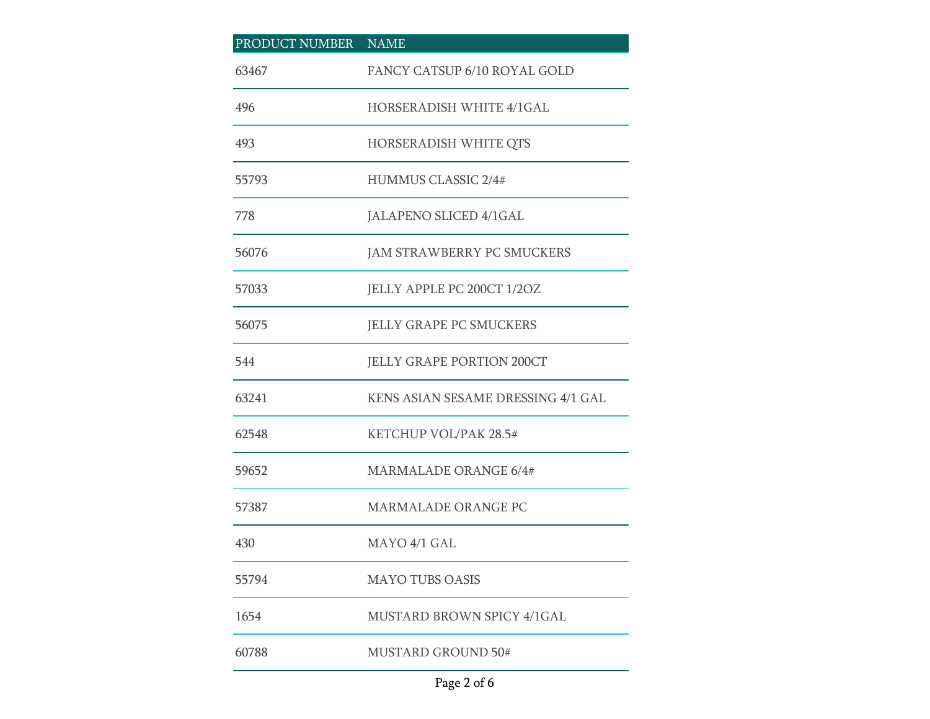| PRODUCT NUMBER | <b>NAME</b>                        |
|----------------|------------------------------------|
| 63467          | FANCY CATSUP 6/10 ROYAL GOLD       |
| 496            | HORSERADISH WHITE 4/1GAL           |
| 493            | HORSERADISH WHITE QTS              |
| 55793          | <b>HUMMUS CLASSIC 2/4#</b>         |
| 778            | JALAPENO SLICED 4/1GAL             |
| 56076          | <b>JAM STRAWBERRY PC SMUCKERS</b>  |
| 57033          | JELLY APPLE PC 200CT 1/2OZ         |
| 56075          | <b>JELLY GRAPE PC SMUCKERS</b>     |
| 544            | <b>JELLY GRAPE PORTION 200CT</b>   |
| 63241          | KENS ASIAN SESAME DRESSING 4/1 GAL |
| 62548          | KETCHUP VOL/PAK 28.5#              |
| 59652          | <b>MARMALADE ORANGE 6/4#</b>       |
| 57387          | MARMALADE ORANGE PC                |
| 430            | MAYO 4/1 GAL                       |
| 55794          | <b>MAYO TUBS OASIS</b>             |
| 1654           | MUSTARD BROWN SPICY 4/1GAL         |
| 60788          | <b>MUSTARD GROUND 50#</b>          |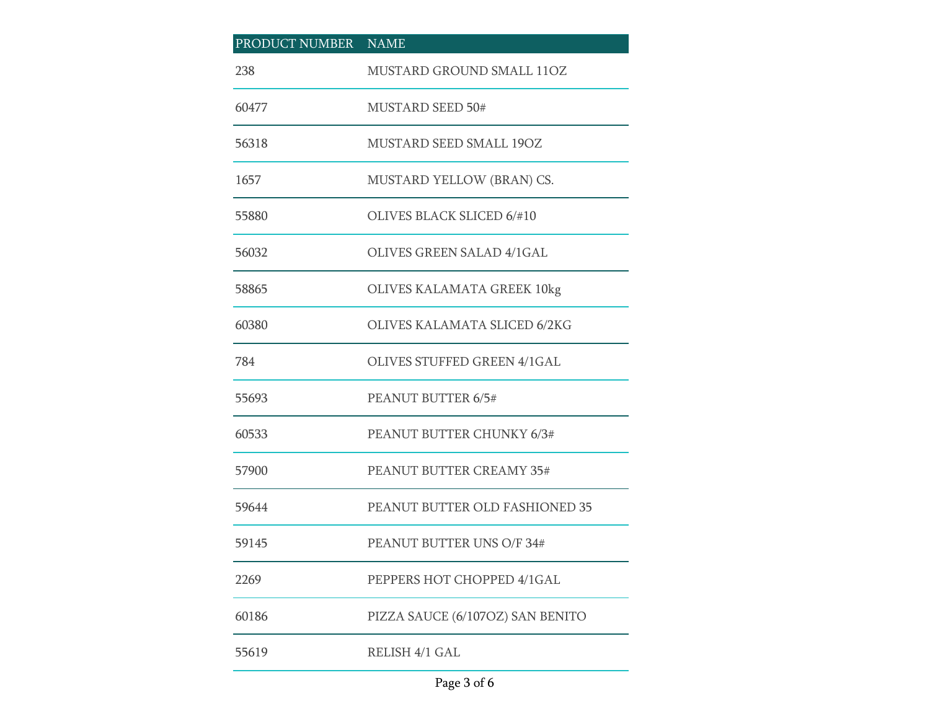## PRODUCT NUMBER NAME MUSTARD GROUND SMALL 11OZ MUSTARD SEED 50# MUSTARD SEED SMALL 19OZ MUSTARD YELLOW (BRAN) CS. OLIVES BLACK SLICED 6/#10 OLIVES GREEN SALAD 4/1GAL OLIVES KALAMATA GREEK 10kg OLIVES KALAMATA SLICED 6/2KG OLIVES STUFFED GREEN 4/1GAL PEANUT BUTTER 6/5# PEANUT BUTTER CHUNKY 6/3# PEANUT BUTTER CREAMY 35# PEANUT BUTTER OLD FASHIONED 35 PEANUT BUTTER UNS O/F 34# PEPPERS HOT CHOPPED 4/1GAL PIZZA SAUCE (6/107OZ) SAN BENITO RELISH 4/1 GAL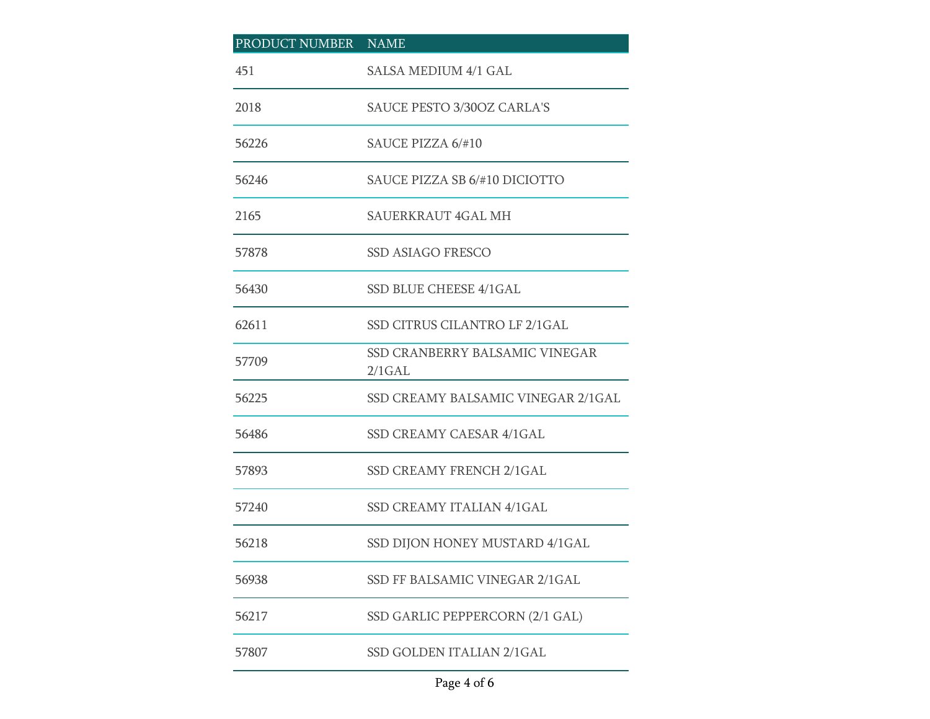| PRODUCT NUMBER NAME |                                             |
|---------------------|---------------------------------------------|
| 451                 | <b>SALSA MEDIUM 4/1 GAL</b>                 |
| 2018                | <b>SAUCE PESTO 3/30OZ CARLA'S</b>           |
| 56226               | SAUCE PIZZA 6/#10                           |
| 56246               | SAUCE PIZZA SB 6/#10 DICIOTTO               |
| 2165                | SAUERKRAUT 4GAL MH                          |
| 57878               | <b>SSD ASIAGO FRESCO</b>                    |
| 56430               | SSD BLUE CHEESE 4/1GAL                      |
| 62611               | SSD CITRUS CILANTRO LF 2/1GAL               |
| 57709               | SSD CRANBERRY BALSAMIC VINEGAR<br>$2/1$ GAL |
| 56225               | SSD CREAMY BALSAMIC VINEGAR 2/1GAL          |
| 56486               | SSD CREAMY CAESAR 4/1GAL                    |
| 57893               | SSD CREAMY FRENCH 2/1GAL                    |
| 57240               | <b>SSD CREAMY ITALIAN 4/1GAL</b>            |
| 56218               | SSD DIJON HONEY MUSTARD 4/1GAL              |
| 56938               | SSD FF BALSAMIC VINEGAR 2/1GAL              |
| 56217               | SSD GARLIC PEPPERCORN (2/1 GAL)             |
| 57807               | SSD GOLDEN ITALIAN 2/1GAL                   |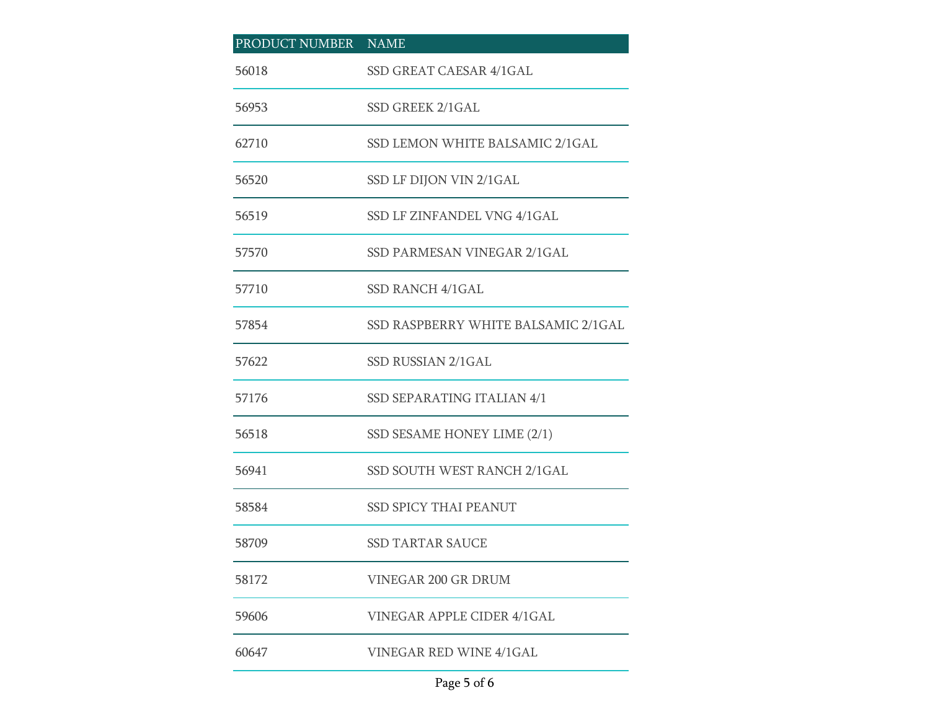| PRODUCT NUMBER NAME |                                     |
|---------------------|-------------------------------------|
| 56018               | SSD GREAT CAESAR 4/1GAL             |
| 56953               | SSD GREEK 2/1GAL                    |
| 62710               | SSD LEMON WHITE BALSAMIC 2/1GAL     |
| 56520               | SSD LF DIJON VIN 2/1GAL             |
| 56519               | SSD LF ZINFANDEL VNG 4/1GAL         |
| 57570               | SSD PARMESAN VINEGAR 2/1GAL         |
| 57710               | SSD RANCH 4/1GAL                    |
| 57854               | SSD RASPBERRY WHITE BALSAMIC 2/1GAL |
| 57622               | SSD RUSSIAN 2/1GAL                  |
| 57176               | SSD SEPARATING ITALIAN 4/1          |
| 56518               | SSD SESAME HONEY LIME (2/1)         |
| 56941               | SSD SOUTH WEST RANCH 2/1GAL         |
| 58584               | <b>SSD SPICY THAI PEANUT</b>        |
| 58709               | <b>SSD TARTAR SAUCE</b>             |
| 58172               | <b>VINEGAR 200 GR DRUM</b>          |
| 59606               | VINEGAR APPLE CIDER 4/1GAL          |
| 60647               | VINEGAR RED WINE 4/1GAL             |